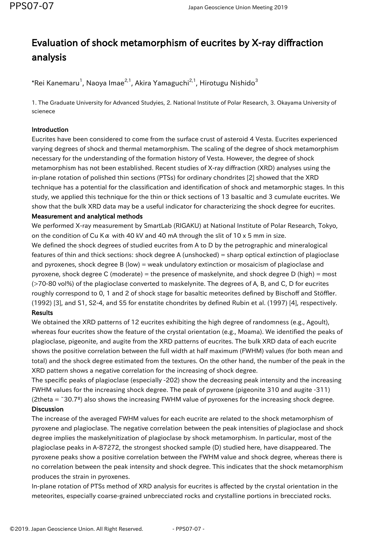# Evaluation of shock metamorphism of eucrites by X-ray diffraction analysis

 $^*$ Rei Kanemaru $^1$ , Naoya Imae $^{2,1}$ , Akira Yamaguchi $^{2,1}$ , Hirotugu Nishido $^3$ 

1. The Graduate University for Advanced Studyies, 2. National Institute of Polar Research, 3. Okayama University of scienece

### Introduction

Eucrites have been considered to come from the surface crust of asteroid 4 Vesta. Eucrites experienced varying degrees of shock and thermal metamorphism. The scaling of the degree of shock metamorphism necessary for the understanding of the formation history of Vesta. However, the degree of shock metamorphism has not been established. Recent studies of X-ray diffraction (XRD) analyses using the in-plane rotation of polished thin sections (PTSs) for ordinary chondrites [2] showed that the XRD technique has a potential for the classification and identification of shock and metamorphic stages. In this study, we applied this technique for the thin or thick sections of 13 basaltic and 3 cumulate eucrites. We show that the bulk XRD data may be a useful indicator for characterizing the shock degree for eucrites.

#### Measurement and analytical methods

We performed X-ray measurement by SmartLab (RIGAKU) at National Institute of Polar Research, Tokyo, on the condition of Cu K $\alpha$  with 40 kV and 40 mA through the slit of 10 x 5 mm in size.

We defined the shock degrees of studied eucrites from A to D by the petrographic and mineralogical features of thin and thick sections: shock degree A (unshocked) = sharp optical extinction of plagioclase and pyroxenes, shock degree B (low) = weak undulatory extinction or mosaicism of plagioclase and pyroxene, shock degree C (moderate) = the presence of maskelynite, and shock degree D (high) = most (>70-80 vol%) of the plagioclase converted to maskelynite. The degrees of A, B, and C, D for eucrites roughly correspond to 0, 1 and 2 of shock stage for basaltic meteorites defined by Bischoff and Stöffler. (1992) [3], and S1, S2-4, and S5 for enstatite chondrites by defined Rubin et al. (1997) [4], respectively. Results

We obtained the XRD patterns of 12 eucrites exhibiting the high degree of randomness (e.g., Agoult), whereas four eucrites show the feature of the crystal orientation (e.g., Moama). We identified the peaks of plagioclase, pigeonite, and augite from the XRD patterns of eucrites. The bulk XRD data of each eucrite shows the positive correlation between the full width at half maximum (FWHM) values (for both mean and total) and the shock degree estimated from the textures. On the other hand, the number of the peak in the XRD pattern shows a negative correlation for the increasing of shock degree.

The specific peaks of plagioclase (especially -202) show the decreasing peak intensity and the increasing FWHM values for the increasing shock degree. The peak of pyroxene (pigeonite 310 and augite -311) (2theta =  $\degree$ 30.7<sup>o</sup>) also shows the increasing FWHM value of pyroxenes for the increasing shock degree. **Discussion** 

The increase of the averaged FWHM values for each eucrite are related to the shock metamorphism of pyroxene and plagioclase. The negative correlation between the peak intensities of plagioclase and shock degree implies the maskelynitization of plagioclase by shock metamorphism. In particular, most of the plagioclase peaks in A-87272, the strongest shocked sample (D) studied here, have disappeared. The pyroxene peaks show a positive correlation between the FWHM value and shock degree, whereas there is no correlation between the peak intensity and shock degree. This indicates that the shock metamorphism produces the strain in pyroxenes.

In-plane rotation of PTSs method of XRD analysis for eucrites is affected by the crystal orientation in the meteorites, especially coarse-grained unbrecciated rocks and crystalline portions in brecciated rocks.